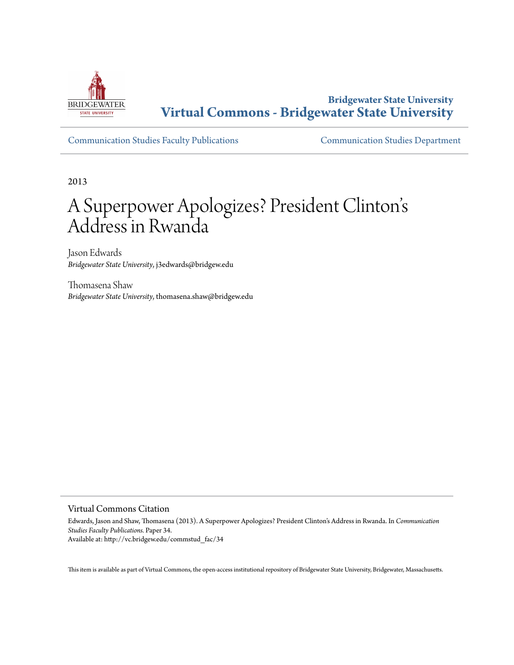

**Bridgewater State University [Virtual Commons - Bridgewater State University](http://vc.bridgew.edu)**

[Communication Studies Faculty Publications](http://vc.bridgew.edu/commstud_fac) [Communication Studies Department](http://vc.bridgew.edu/commstud)

2013

# A Superpower Apologizes? President Clinton s י<br>'. Address in Rwanda

Jason Edwards *Bridgewater State University*, j3edwards@bridgew.edu

Thomasena Shaw *Bridgewater State University*, thomasena.shaw@bridgew.edu

#### Virtual Commons Citation

Edwards, Jason and Shaw, Thomasena (2013). A Superpower Apologizes? President Clinton's Address in Rwanda. In *Communication Studies Faculty Publications.* Paper 34. Available at: http://vc.bridgew.edu/commstud\_fac/34

This item is available as part of Virtual Commons, the open-access institutional repository of Bridgewater State University, Bridgewater, Massachusetts.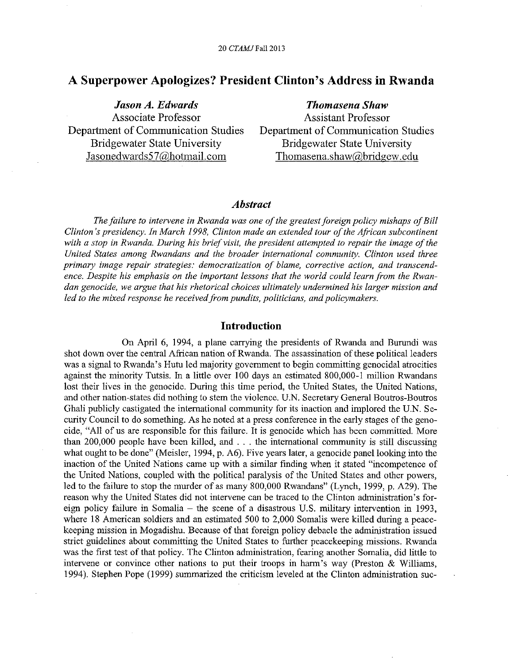## **A Superpower Apologizes? President Clinton's Address in Rwanda**

*Jason A. Edwards*  Associate Professor Department of Communication Studies Bridgewater State University Jasonedwards57@hotmail.com

*Thomasena Shaw*  Assistant Professor Department of Communication Studies Bridgewater State University Thomasena.shaw@bridgew.edu

#### *Abstract*

*The failure to intervene in Rwanda was one of the greatest foreign policy mishaps of Bill Clinton's presidency. In March 1998, Clinton made an extended tour of the African subcontinent with a stop in Rwanda. During his brief visit, the president attempted to repair the image of the United States among Rwandans and the broader international community. Clinton used three primary image repair strategies: democratization of blame, corrective action, and transcendence. Despite his emphasis on the important lessons that the world could learn from the Rwandan genocide, we argue that his rhetorical choices ultimately undermined his larger mission and led to the mixed response he received from pundits, politicians, and policymakers.* 

#### **Introdnction**

On April 6, 1994, a plane carrying the presidents of Rwanda and Burundi was shot down over the central African nation of Rwanda. The assassination of these political leaders was a signal to Rwanda's Hutu led majority government to begin committing genocidal atrocities against the minority Tutsis. In a little over 100 days an estimated 800,000-1 mi!lion Rwandans lost their lives in the genocide. During this time period, the United States, the United Nations, and other nation-states did nothing to stem the violence. U.N. Secretary General Boutros-Boutros Ghali publicly castigated the international community for its inaction and implored the U.N. Security Council to do something. As he noted at a press conference in the early stages of the genocide, "All of us are responsible for this failure. It is genocide which has been committed. More than 200,000 people have been killed, and ... the international community is still discussing what ought to be done" (Meisler, 1994, p. A6). Five years later, a genocide panel looking into the inaction of the United Nations came up with a similar finding when it stated "incompetence of the United Nations, coupled with the political paralysis of the United States and other powers, led to the failure to stop the murder of as many 800,000 Rwandans" (Lynch, 1999, p. A29). The reason why the United States did not intervene can be traced to the Clinton administration's foreign policy failure in Somalia - the scene of a disastrous U.S. military intervention in 1993, where 18 American soldiers and an estimated 500 to 2,000 Somalis were killed during a peacekeeping mission in Mogadishu. Because of that foreign policy debacle the administration issued strict guidelines about committing the United States to further peacekeeping missions. Rwanda was the first test of that policy. The Clinton administration, fearing another Somalia, did little to intervene or convince other nations to put their troops in harm's way (Preston & Williams, 1994). Stephen Pope (1999) summarized the criticism leveled at the Clinton administration suc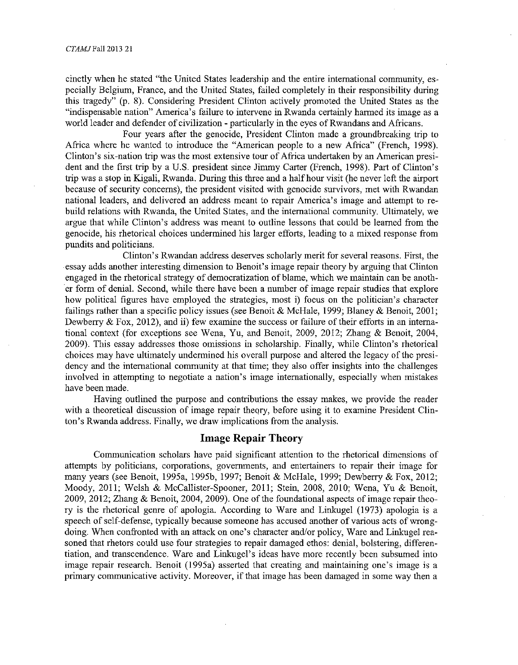cinctly when he stated "the United States leadership and the entire international community, especially Belgium, France, and the United States, failed completely in their responsibility during this tragedy" (p. 8). Considering President Clinton actively promoted the United States as the "indispensable nation" America's failure to intervene in Rwanda certainly harmed its image as a world leader and defender of civilization - particularly in the eyes of Rwandans and Africans.

Four years after the genocide, President Clinton made a groundbreaking trip to Africa where he wanted to introduce the "American people to a new Africa" (French, 1998). Clinton's six-nation trip was the most extensive tour of Africa undertaken by an American president and the first trip by a U.S. president since Jimmy Carter (French, 1998). Part of Clinton's trip was a stop in Kigali, Rwanda. During this three and a half hour visit (he never left the airport because of security concerns), the president visited with genocide survivors, met with Rwandan national leaders, and delivered an address meant to repair America's image and attempt to rebuild relations with Rwanda, the United States, and the international community. Ultimately, we argue that while Clinton's address was meant to outline lessons that could be learned from the genocide, his rhetorical choices undermined his larger efforts, leading to a mixed response from pundits and politicians.

Clinton's Rwandan address deserves scholarly merit for several reasons. First, the essay adds another interesting dimension to Benoit's image repair theory by arguing that Clinton engaged in the rhetorical strategy of democratization of blame, which we maintain can be another form of denial. Second, while there have been a number of image repair studies that explore how political figures have employed the strategies, most i) focus on the politician's character failings rather than a specific policy issues (see Benoit & McHale, 1999; Blaney & Benoit, 2001; Dewberry & Fox, 2012), and ii) few examine the success or failure of their efforts in an international context (for exceptions see Wena, Yu, and Benoit, 2009, 2012; Zhang & Benoit, 2004, 2009). This essay addresses those omissions in scholarship. Finally, while Clinton's rhetorical choices may have ultimately undermined his overall purpose and altered the legacy of the presidency and the international community at that time; they also offer insights into the challenges involved in attempting to negotiate a nation's image internationally, especially when mistakes have been made.

Having outlined the purpose and contributions the essay makes, we provide the reader with a theoretical discussion of image repair theory, before using it to examine President Clinton's Rwanda address. Finally, we draw implications from the analysis.

### **Image Repair Theory**

Communication scholars have paid significant attention to the rhetorical dimensions of attempts by politicians, corporations, governments, and entertainers to repair their image for many years (see Benoit, 1995a, 1995b, 1997; Benoit & McHale, 1999; Dewberry & Fox, 2012; Moody, 2011; Welsh & McCallister-Spooner, 2011; Stein, 2008, 2010; Wena, Yu & Benoit, 2009, 2012; Zhang & Benoit, 2004, 2009). One of the foundational aspects of image repair theory is the rhetorical genre of apologia. According to Ware and Linkugel (1973) apologia is a speech of self-defense, typically because someone has accused another of various acts of wrongdoing. When confronted with an attack on one's character and/or policy, Ware and Linkugel reasoned that rhetors could use four strategies to repair damaged ethos: denial, bolstering, differentiation, and transcendence. Ware and Linkugel's ideas have more recently been subsumed into image repair research. Benoit (1995a) asserted that creating and maintaining one's image is a primary communicative activity. Moreover, if that image has been damaged in some way then a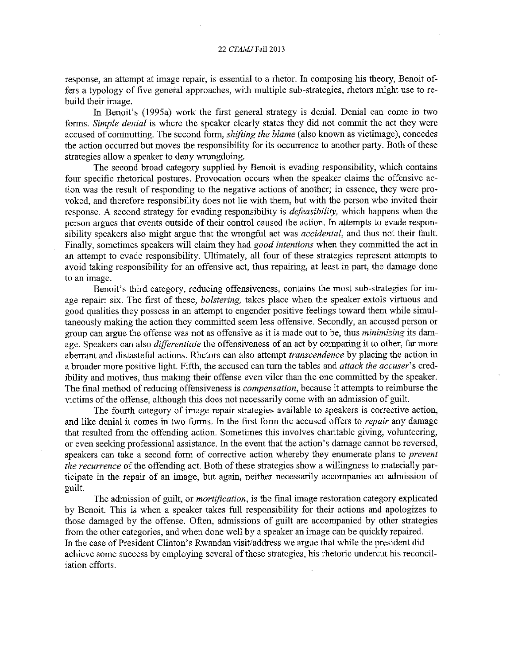#### 22 *CTAMJFall* 2013

response, an attempt at image repair, is essential to a rhetor. In composing his theory, Benoit offers a typology of five general approaches, with multiple sub-strategies, rhetors might use to rebuild their image.

In Benoit's (1995a) work the first general strategy is denial. Denial can come in two forms. *Simple denial* is where the speaker clearly states they did not commit the act they were accused of committing. The second form, *shifting the blame* (also known as victimage), concedes the action occurred but moves the responsibility for its occurrence to another party. Both of these strategies allow a speaker to deny wrongdoing.

The second broad category supplied by Benoit is evading responsibility, which contains four specific rhetorical postures. Provocation occurs when the speaker claims the offensive action was the result of responding to the negative actions of another; in essence, they were provoked, and therefore responsibility does not lie with them, but with the person who invited their response. A second strategy for evading responsibility is *defeasibility,* which happens when the person argues that events outside of their control caused the action. In attempts to evade responsibility speakers also might argue that the wrongful act was *accidental,* and thus not their fault. Finally, sometimes speakers will claim they had *good intentions* when they committed the act in an attempt to evade responsibility. Ultimately, all four of these strategies represent attempts to avoid taking responsibility for an offensive act, thus repairing, at least in part, the damage done to an image.

Benoit's third category, reducing offensiveness, contains the most sub-strategies for image repair: six. The first of these, *bolstering,* takes place when the speaker extols virtuous and good qualities they possess in an attempt to engender positive feelings toward them while simultaneously making the action they committed seem less offensive. Secondly, an accused person or group can argue the offense was not as offensive as it is made out to be, thus *minimizing* its damage. Speakers can also *differentiate* the offensiveness of an act by comparing it to other, far more aberrant and distasteful actions. Rhetors can also attempt *transcendence* by placing the action in a broader more positive light. Fifth, the accused can turn the tables and *attack the accuser's* credibility and motives, thus making their offense even viler than the one committed by the speaker. The final method of reducing offensiveness is *compensation,* because it attempts to reimburse the victims of the offense, although this does not necessarily come with an admission of guilt.

The fourth category of image repair strategies available to speakers is corrective action, and like denial it comes in two forms. In the first form the accused offers to *repair* any damage that resulted from the offending action. Sometimes this involves charitable giving, volunteering, or even seeking professional assistance. In the event that the action's damage cannot be reversed, speakers can take a second form of corrective action whereby tbey enumerate plans to *preven<sup>t</sup> the recurrence* of the offending act. Both of these strategies show a willingness to materially participate in the repair of an image, but again, neither necessarily accompanies an admission of guilt.

The admission of guilt, or *mortification,* is the final image restoration category explicated by Benoit. This is when a speaker takes full responsibility for their actions and apologizes to those damaged by tbe offense. Often, admissions of guilt are accompanied by other strategies from the other categories, and when done well by a speaker an image can be quickly repaired. In the case of President Clinton's Rwandan visit/address we argue that while the president did achieve some success by employing several of these strategies, his rhetoric undercut his reconciliation efforts.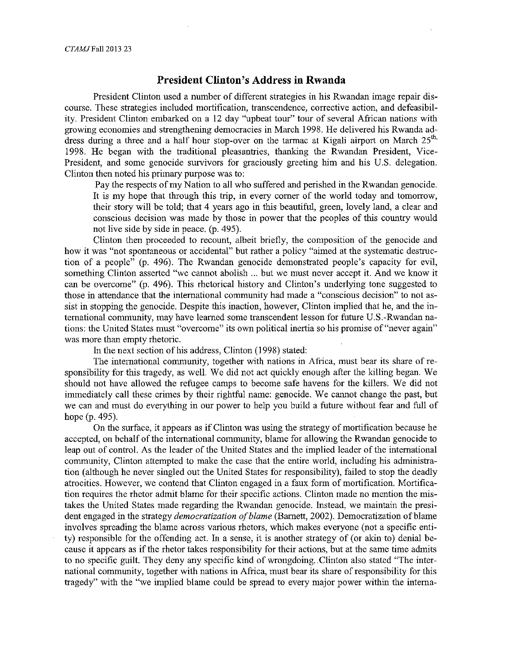### **President Clinton's Address in Rwanda**

President Clinton used a number of different strategies in his Rwandan image repair discourse. These strategies included mortification, transcendence, corrective action, and defeasibility. President Clinton embarked on a 12 day "upbeat tour" tour of several African nations with growing economies and strengthening democracies in March 1998. He delivered his Rwanda address during a three and a half hour stop-over on the tarmac at Kigali airport on March  $25<sup>th</sup>$ , 1998. He began with the traditional pleasantries, thanking the Rwandan President, Vice-President, and some genocide survivors for graciously greeting him and his U.S. delegation. Clinton then noted his primary purpose was to:

Pay the respects of my Nation to all who suffered and perished in the Rwandan genocide. It is my hope that through this trip, in every comer of the world today and tomorrow, their story will be told; that 4 years ago in this beautiful, green, lovely land, a clear and conscious decision was made by those in power that the peoples of this country would not live side by side in peace. (p. 495).

Clinton then proceeded to recount, albeit briefly, the composition of the genocide and how it was "not spontaneous or accidental" but rather a policy "aimed at the systematic destruction of a people<sup> $\overline{5}$ </sup> (p. 496). The Rwandan genocide demonstrated people's capacity for evil, something Clinton asserted "we cannot abolish ... but we must never accept it. And we know it can be overcome" (p. 496). This rhetorical history and Clinton's underlying tone suggested to those in attendance that the international community had made a "conscious decision" to not assist in stopping the genocide. Despite this inaction, however, Clinton implied that he, and the international community, may have learned some transcendent lesson for future U.S.-Rwandan nations: the United States must "overcome" its own political inertia so his promise of"never again" was more than empty rhetoric.

In the next section of his address, Clinton (1998) stated:

The international community, together with nations in Africa, must bear its share of responsibility for this tragedy, as well. We did not act quickly enough after the killing began. We should not have allowed the refugee camps to become safe havens for the killers. We did not inunediately call these crimes by their rightful name: genocide. We cannot change the past, but we can and must do everything in our power to help you build a future without fear and full of hope (p. 495).

On the surface, it appears as if Clinton was using the strategy of mortification because he accepted, on behalf of the international community, blame for allowing the Rwandan genocide to leap out of control. As the leader of the United States and the implied leader of the international community, Clinton attempted to make the case that the entire world, including his administration (although he never singled out the United States for responsibility), failed to stop the deadly atrocities. However, we contend that Clinton engaged in a faux form of mortification. Mortification requires the rhetor admit blame for their specific actions. Clinton made no mention the mistakes the United States made regarding the Rwandan genocide. Instead, we maintain the president engaged in the strategy *democratization of blame* (Barnett, 2002). Democratization of blame involves spreading the blame across various rhetors, which makes everyone (not a specific entity) responsible for the offending act. In a sense, it is another strategy of (or akin to) denial because it appears as if the rhetor takes responsibility for their actions, but at the same time admits to no specific guilt. They deny any specific kind of wrongdoing .. Clinton also stated "The international community, together with nations in Africa, must bear its share of responsibility for this tragedy" with the "we implied blame could be spread to every major power within the intema-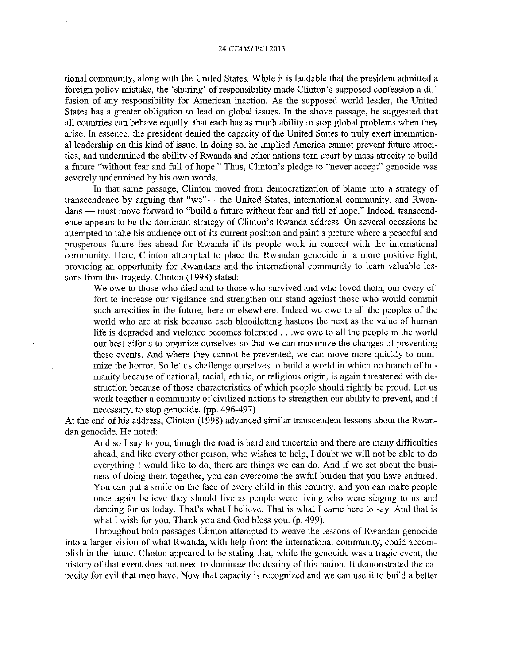#### 24 *CTAMJFall* 2013

tional community, along with the United States. While it is laudable that the president admitted a foreign policy mistake, the 'sharing' of responsibility made Clinton's supposed confession a diffusion of any responsibility for American inaction. As the supposed world leader, the United States has a greater obligation to lead on global issues. In the above passage, he suggested that all countries can behave equally, that each has as much ability to stop global problems when they arise. In essence, the president denied the capacity of the United States to truly exert international leadership on this kind of issue. In doing so, he implied America cannot prevent future atrocities, and undermined the ability of Rwanda and other nations tom apart by mass atrocity to build a future "without fear and full of hope." Thus, Clinton's pledge to "never accept" genocide was severely undermined by his own words.

In that same passage, Clinton moved from democratization of blame into a strategy of transcendence by arguing that "we"- the United States, international community, and Rwandans - must move forward to "build a future without fear and full of hope." Indeed, transcendence appears to be the dominant strategy of Clinton's Rwanda address. On several occasions he attempted to take his audience out of its current position and paint a picture where a peaceful and prosperous future lies ahead for Rwanda if its people work in concert with the international community. Here, Clinton attempted to place the Rwandan genocide in a more positive light, providing an opportunity for Rwandans and the international community to learn valuable lessons from this tragedy. Clinton (1998) stated:

We owe to those who died and to those who survived and who loved them, our every effort to increase our vigilance and strengthen our stand against those who would commit such atrocities in the future, here or elsewhere. Indeed we owe to all the peoples of the world who are at risk because each bloodletting hastens the next as the value of human life is degraded and violence becomes tolerated ... we owe to all the people in the world our best efforts to organize ourselves so that we can maximize the changes of preventing these events. And where they cannot be prevented, we can move more quickly to minimize the horror. So let us challenge ourselves to build a world in which no branch of humanity because of national, racial, ethnic, or religious origin, is again threatened with destruction because of those characteristics of which people should rightly be proud. Let us work together a community of civilized nations to strengthen our ability to prevent, and if necessary, to stop genocide. (pp. 496-497)

At the end of his address, Clinton (1998) advanced similar transcendent lessons about the Rwandan genocide. He noted:

And so I say to you, though the road is hard and uncertain and there are many difficulties ahead, and like every other person, who wishes to help, I doubt we will not be able to do everything I would like to do, there are things we can do. And if we set about the business of doing them together, you can overcome the awful burden that you have endured. You can put a smile on the face of every child in this country, and you can make people once again believe they should live as people were living who were singing to us and dancing for us today. That's what I believe. That is what I came here to say. And that is what I wish for you. Thank you and God bless you. (p. 499).

Throughout both passages Clinton attempted to weave the lessons of Rwandan genocide into a larger vision of what Rwanda, with help from the international community, could accomplish in the future. Clinton appeared to be stating that, while the genocide was a tragic event, the history of that event does not need to dominate the destiny of this nation. It demonstrated the capacity for evil that men have. Now that capacity is recognized and we can use it to build a better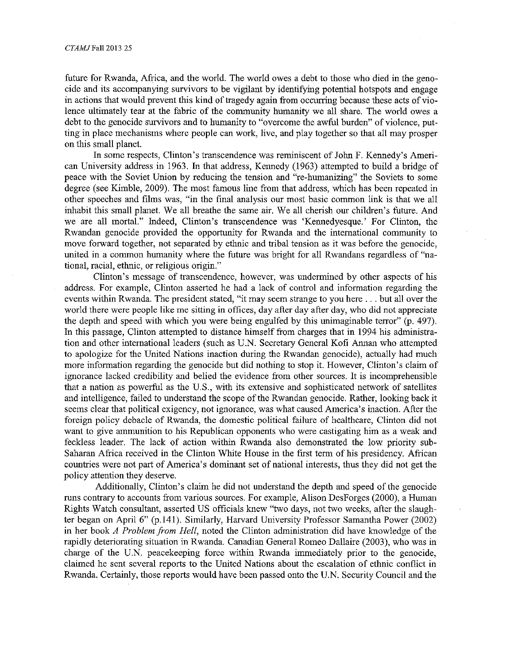future for Rwanda, Africa, and the world. The world owes a debt to those who died in the genocide and its accompanying survivors to be vigilant by identifying potential hotspots and engage in actions that would prevent this kind of tragedy again from occurring because these acts of violence ultimately tear at the fabric of the community humanity we all share. The world owes a debt to the genocide survivors and to humanity to "overcome the awful burden" of violence, putting in place mechanisms where people can work, live, and play together so that all may prosper on this small planet.

In some respects, Clinton's transcendence was reminiscent of John F. Kennedy's American University address in 1963. In that address, Kennedy (1963) attempted to build a bridge of peace with the Soviet Union by reducing the tension and "re-humanizing" the Soviets to some degree (see Kimble, 2009). The most famous line from that address, which has been repeated in other speeches and films was, "in the final analysis our most basic common link is that we all inhabit this small planet. We all breathe the same air. We all cherish our children's future. And we are all mortal." Indeed, Clinton's transcendence was 'Kennedyesque.' For Clinton, the Rwandan genocide provided the opportunity for Rwanda and the international community to move forward together, not separated by ethnic and tribal tension as it was before the genocide, united in a common humanity where the future was bright for all Rwandans regardless of "national, racial, ethnic, or religious origin."

Clinton's message of transcendence, however, was undermined by other aspects of his address. For example, Clinton asserted he had a lack of control and information regarding the events within Rwanda. The president stated, "it may seem strange to you here ... but all over the world there were people like me sitting in offices, day after day after day, who did not appreciate the depth and speed with which you were being engulfed by this unimaginable terror" (p. 497). In this passage, Clinton attempted to distance himself from charges that in 1994 his administration and other international leaders (such as U.N. Secretary General Kofi Annan who attempted to apologize for the United Nations inaction during the Rwandan genocide), actually had much more information regarding the genocide but did nothing to stop it. However, Clinton's claim of ignorance lacked credibility and belied the evidence from other sources. It is incomprehensible that a nation as powerful as the U.S., with its extensive and sophisticated network of satellites and intelligence, failed to understand the scope of the Rwandan genocide. Rather, looking back it seems clear that political exigency, not ignorance, was what caused America's inaction. After the foreign policy debacle of Rwanda, the domestic political failure of healthcare, Clinton did not want to give ammunition to his Republican opponents who were castigating him as a weak and feckless leader. The lack of action within Rwanda also demonstrated the low priority sub-Saharan Africa received in the Clinton White House in the first term of his presidency. African countries were not part of America's dominant set of national interests, thus they did not get the policy attention they deserve.

Additionally, Clinton's claim he did not understand the depth and speed of the genocide runs contrary to accounts from various sources. For example, Alison Desforges (2000), a Human Rights Watch consultant, asserted US officials knew "two days, not two weeks, after the slaughter began on April 6" (p.141). Similarly, Harvard University Professor Samantha Power (2002) in her book *A Problem from Hell,* noted the Clinton administration did have knowledge of the rapidly deteriorating situation in Rwanda. Canadian General Romeo Dallaire (2003), who was in charge of the U.N. peacekeeping force within Rwanda immediately prior to the genocide, claimed he sent several reports to the United Nations about the escalation of ethnic conflict in Rwanda. Certainly, those reports would have been passed onto the U.N. Security Council and the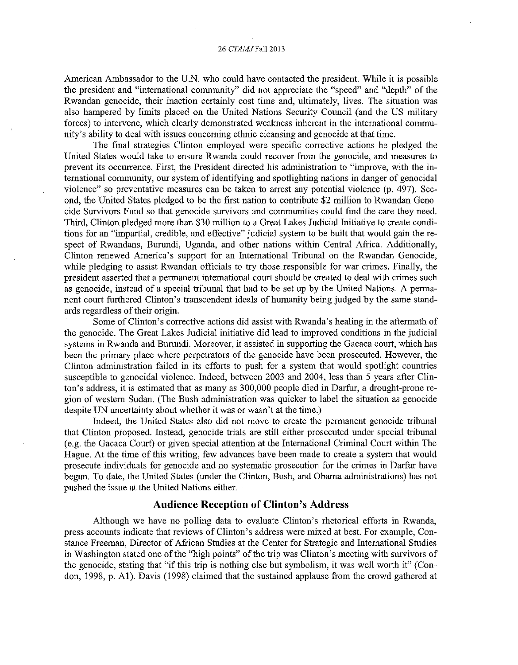#### 26 *CTAMJ* Fall 2013

American Ambassador to the U.N. who could have contacted the president. While it is possible the president and "international community" did not appreciate the "speed" and "depth" of the Rwandan genocide, their inaction certainly cost time and, ultimately, lives. The situation was also hampered by limits placed on the United Nations Security Council (and the US military forces) to intervene, which clearly demonstrated weakness inherent in the international community's ability to deal with issues concerning ethnic cleansing and genocide at that time.

The final strategies Clinton employed were specific corrective actions he pledged the United States would take to ensure Rwanda could recover from the genocide, and measures to prevent its occurrence. First, the President directed his administration to "improve, with the international community, our system of identifying and spotlighting nations in danger of genocidal violence" so preventative measures can be taken to arrest any potential violence (p. 497). Second, the United States pledged to be the first nation to contribute \$2 million to Rwandan Genocide Survivors Fund so that genocide survivors and communities could find the care they need. Third, Clinton pledged more than \$30 million to a Great Lakes Judicial Initiative to create conditions for an "impartial, credible, and effective" judicial system to be built that would gain the respect of Rwandans, Burundi, Uganda, and other nations within Central Africa. Additionally, Clinton renewed America's support for an International Tribunal on the Rwandan Genocide, while pledging to assist Rwandan officials to try those responsible for war crimes. Finally, the president asserted that a permanent international court should be created to deal with crimes such as genocide, instead of a special tribunal that had to be set up by the United Nations. A permanent court furthered Clinton's transcendent ideals of humanity being judged by the same standards regardless of their origin.

Some of Clinton's corrective actions did assist with Rwanda's healing in the aftermath of the genocide. The Great Lakes Judicial initiative did lead to improved conditions in the judicial systems in Rwanda and Burundi. Moreover, it assisted in supporting the Gacaca court, which has been the primary place where perpetrators of the genocide have been prosecuted. However, the Clinton administration failed in its efforts to push for a system that would spotlight countries susceptible to genocidal violence. Indeed, between 2003 and 2004, less than 5 years after Clinton's address, it is estimated that as many as 300,000 people died in Darfur, a drought-prone region of western Sudan. (The Bush administration was quicker to label the situation as genocide despite UN uncertainty about whether it was or wasn't at the time.)

Indeed, the United States also did not move to create the permanent genocide tribunal that Clinton proposed. Instead, genocide trials are still either prosecuted under special tribunal (e.g. the Gacaca Court) or given special attention at the International Criminal Court within The Hague. At the time of this writing, few advances have been made to create a system that would prosecute individuals for genocide and no systematic prosecution for the crimes in Darfur have begun. To date, the United States (under the Clinton, Bush, and Obama administrations) has not pushed the issue at the United Nations either.

#### **Audience Reception of Clinton's Address**

Although we have no polling data to evaluate Clinton's rhetorical efforts in Rwanda, press accounts indicate that reviews of Clinton's address were mixed at best. For example, Constance Freeman, Director of African Studies at the Center for Strategic and International Studies in Washington stated one of the "high points" of the trip was Clinton's meeting with survivors of the genocide, stating that "if this trip is nothing else but symbolism, it was well worth it" (Condon, 1998, p. Al). Davis (1998) claimed that the sustained applause from the crowd gathered at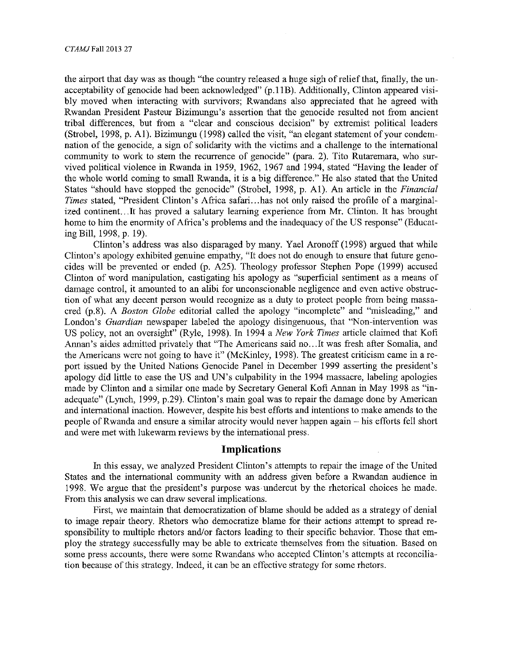the airport that day was as though "the country released a huge sigh of relief that, finally, the unacceptability of genocide had been acknowledged" (p.11B). Additionally, Clinton appeared visibly moved when interacting with survivors; Rwandans also appreciated that he agreed with Rwandan President Pasteur Bizimungu's assertion that the genocide resulted not from ancient tribal differences, but from a "clear and conscious decision" by extremist political leaders (Strobel, 1998, p. Al). Bizimungu (1998) called the visit, "an elegant statement of your condemnation of the genocide, a sign of solidarity with the victims and a challenge to the international community to work to stem the recurrence of genocide" (para. 2). Tito Rutaremara, who survived political violence in Rwanda in 1959, 1962, 1967 and 1994, stated "Having the leader of the whole world coming to small Rwanda, it is a big difference." He also stated that the United States "should have stopped the genocide" (Strobel, 1998, p. Al). An article in the *Financial Times* stated, "President Clinton's Africa safari... has not only raised the profile of a marginalized continent. .. It has proved a salutary learning experience from Mr. Clinton. It has brought home to him the enormity of Africa's problems and the inadequacy of the US response" (Educating Bill, 1998, p. 19).

Clinton's address was also disparaged by many. Yael Aronoff (1998) argued that while Clinton's apology exhibited genuine empathy, "It does not do enough to ensure that future genocides will be prevented or ended (p. A25). Theology professor Stephen Pope (1999) accused Clinton of word manipulation, castigating his apology as "superficial sentiment as a means of damage control, it amounted to an alibi for unconscionable negligence and even active obstruction of what any decent person would recognize as a duty to protect people from being massacred (p.8). A *Boston Globe* editorial called the apology "incomplete" and "misleading," and London's *Guardian* newspaper labeled the apology disingenuous, that "Non-intervention was US policy, not an oversight" (Ryle, 1998). In 1994 a *New York Times* article claimed that Kofi Annan's aides admitted privately that "The Americans said no...It was fresh after Somalia, and the Americans were not going to have it" (McKinley, 1998). The greatest criticism came in a report issued by the United Nations Genocide Panel in December 1999 asserting the president's apology did little to ease the US and UN's culpability in the 1994 massacre, labeling apologies made by Clinton and a similar one made by Secretary General Kofi Annan in May 1998 as "inadequate" (Lynch, 1999, p.29). Clinton's main goal was to repair the damage done by American and international inaction. However, despite his best efforts and intentions to make amends to the people of Rwanda and ensure a similar atrocity would never happen again – his efforts fell short and were met with lukewarm reviews by the international press.

### **Implications**

In this essay, we analyzed President Clinton's attempts to repair the image of the United States and the international community with an address given before a Rwandan audience in 1998. We argue that the president's purpose was undercut by the rhetorical choices he made. From this analysis we can draw several implications.

First, we maintain that democratization of blame should be added as a strategy of denial to image repair theory. Rhetors who democratize blame for their actions attempt to spread responsibility to multiple rhetors and/or factors leading to their specific behavior. Those that employ the strategy successfully may be able to extricate themselves from the situation. Based on some press accounts, there were some Rwandans who accepted Clinton's attempts at reconciliation because of this strategy. Indeed, it can be an effective strategy for some rhetors.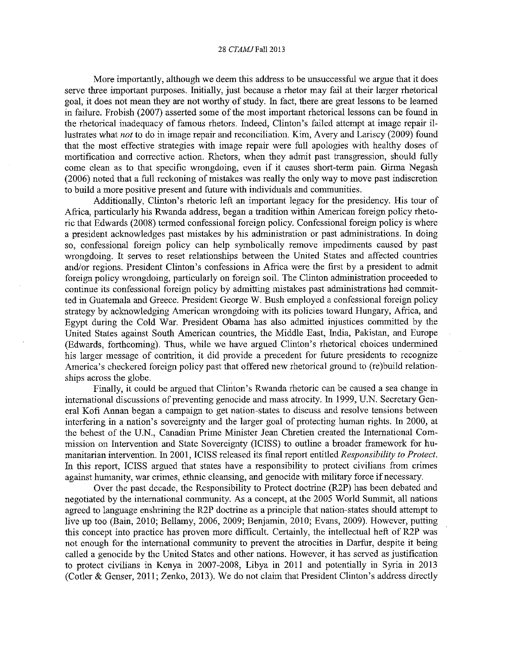#### 28 *CTAMJFall* 2013

More importantly, although we deem this address to be unsuccessful we argue that it does serve three important purposes. Initially, just because a rhetor may fail at their larger rhetorical goal, it does not mean they are not worthy of study. In fact, there are great lessons to be learned in failure. Frobish (2007) asserted some of the most important rhetorical lessons can be found in the rhetorical inadequacy of famous rhetors. Indeed, Clinton's failed attempt at image repair illustrates what *not* to do in image repair and reconciliation. Kim, Avery and Lariscy (2009) found that the most effective strategies with image repair were full apologies with healthy doses of mortification and corrective action. Rhetors, when they admit past transgression, should fully come clean as to that specific wrongdoing, even if it causes short-term pain. Girma Negash (2006) noted that a full reckoning of mistakes was really the only way to move past indiscretion to build a more positive present and future with individuals and communities.

Additionally, Clinton's rhetoric left an important legacy for the presidency. His tour of Africa, particularly his Rwanda address, began a tradition within American foreign policy rhetoric that Edwards (2008) termed confessional foreign policy. Confessional foreign policy is where a president acknowledges past mistakes by his administration or past administrations. In doing so, confessional foreign policy can help symbolically remove impediments caused by pas<sup>t</sup> wrongdoing. It serves to reset relationships between the United States and affected countries and/or regions. President Clinton's confessions in Africa were the first by a president to admit foreign policy wrongdoing, particularly on foreign soil. The Clinton administration proceeded to continue its confessional foreign policy by admitting mistakes past administrations had committed in Guatemala and Greece. President George W. Bush employed a confessional foreign policy strategy by acknowledging American wrongdoing with its policies toward Hungary, Africa, and Egypt during the Cold War. President Obama has also admitted injustices committed by the United States against South American countries, the Middle East, India, Pakistan, and Europe (Edwards, forthcoming). Thus, while we have argued Clinton's rhetorical choices undermined his larger message of contrition, it did provide a precedent for future presidents to recognize America's checkered foreign policy past that offered new rhetorical ground to (re)build relationships across the globe.

Finally, it could be argued that Clinton's Rwanda rhetoric can be caused a sea change in international discussions of preventing genocide and mass atrocity. In 1999, U.N. Secretary General Kofi Annan began a campaign to get nation-states to discuss and resolve tensions between interfering in a nation's sovereignty and the larger goal of protecting human rights. In 2000, at the behest of the U.N., Canadian Prime Minister Jean Chretien created the International Commission on Intervention and State Sovereignty (ICISS) to outline a broader framework for humanitarian intervention. In 2001, ICISS released its final report entitled *Responsibility to Protect.*  In this report, ICISS argued that states have a responsibility to protect civilians from crimes against humanity, war crimes, ethnic cleansing, and genocide with military force if necessary.

Over the past decade, the Responsibility to Protect doctrine (R2P) has been debated and negotiated by the international community. As a concept, at the 2005 World Summit, all nations agreed to language enshrining the R2P doctrine as a principle that nation-states should attempt to live up too (Bain, 2010; Bellamy, 2006, 2009; Benjamin, 2010; Evans, 2009). However, putting this concept into practice has proven more difficult. Certainly, the intellectual heft of R2P was not enough for the international community to prevent the atrocities in Darfur, despite it being called a genocide by the United States and other nations. However, it has served as justification to protect civilians in Kenya in 2007-2008, Libya in 2011 and potentially in Syria in 2013 (Cotler & Genser, 2011; Zenko, 2013). We do not claim that President Clinton's address directly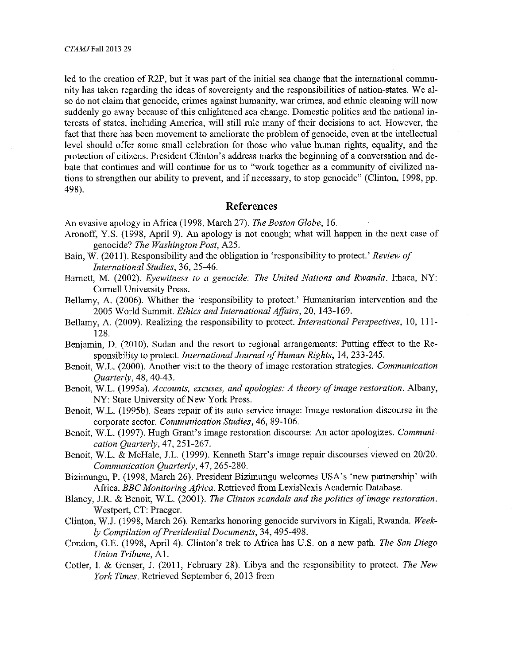led to the creation of R2P, but it was part of the initial sea change that the international community has taken regarding the ideas of sovereignty and the responsibilities of nation-states. We also do not claim that genocide, crimes against humanity, war crimes, and ethnic cleaning will now suddenly go away because of this enlightened sea change. Domestic politics and the national interests of states, including America, will still rule many of their decisions to act. However, the fact that there has been movement to ameliorate the problem of genocide, even at the intellectual level should offer some small celebration for those who value human rights, equality, and the protection of citizens. President Clinton's address marks the beginning of a conversation and debate that continues and will continue for us to "work together as a community of civilized nations to strengthen our ability to prevent, and if necessary, to stop genocide" (Clinton, 1998, pp. 498).

### **References**

An evasive apology in Africa (1998, March 27). *The Boston Globe,* 16.

- Aronoff, Y.S. (1998, April 9). An apology is not enough; what will happen in the next case of genocide? *The Washington Post,* A25.
- Bain, W. (2011 ). Responsibility and the obligation in 'responsibility to protect.' *Review of International Studies,* 36, 25-46.
- Barnett, M. (2002). *Eyewitness to a genocide: The United Nations and Rwanda*. Ithaca, NY: Cornell University Press.
- Bellamy, A. (2006). Whither the 'responsibility to protect.' Humanitarian intervention and the 2005 World Summit. *Ethics and International Affairs,* 20, 143-169.
- Bellamy, A. (2009). Realizing the responsibility to protect. *International Perspectives,* 10, 111- 128.
- Benjamin, D. (2010). Sudan and the resort to regional arrangements: Putting effect to the Responsibility to protect. *International Journal of Human Rights,* 14, 233-245.
- Benoit, W.L. (2000). Another visit to the theory of image restoration strategies. *Communication Quarterly,* 48, 40-43.
- Benoit, W.L. (1995a). *Accounts, excuses, and apologies: A theory of image restoration.* Albany, NY: State University of New York Press.
- Benoit, W.L. (1995b), Sears repair of its auto service image: Image restoration discourse in the corporate sector. *Communication Studies,* 46, 89-106.
- Benoit, W.L. (1997). Hugh Grant's image restoration discourse: An actor apologizes. *Communication Quarterly,* 47, 251-267.
- Benoit, W.L. & McHale, J.L. (1999). Kenneth Starr's image repair discourses viewed on 20/20. *Communication Quarterly,* 47, 265-280.
- Bizirnungu, P. (1998, March 26). President Bizimungu welcomes USA's 'new partnership' with Africa. *BBC Monitoring Africa.* Retrieved from LexisNexis Academic Database.
- Blaney, J.R. & Benoit, W.L. (2001). *The Clinton scandals and the politics of image restoration.*  Westport, CT: Praeger.
- Clinton, W.l (1998, March 26). Remarks honoring genocide survivors in Kigali, Rwanda. *Weekly Compilation of Presidential Documents,* 34, 495-498.
- Condon, G.E. (1998, April 4). Clinton's trek to Africa has U.S. on a new path. *The San Diego Union Tribune,* Al.
- Cotler, I. & Genser, J. (2011, February 28). Libya and the responsibility to protect. *The New York Times.* Retrieved September 6, 2013 from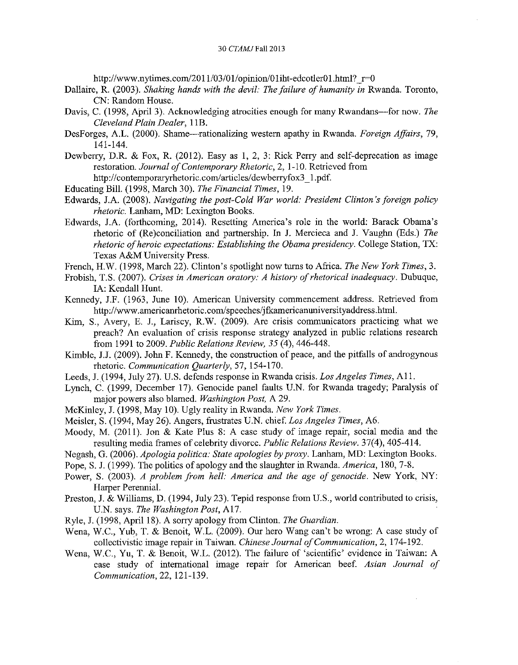http://www.nytimes.com/2011/03/01/opinion/01 iht-edcotler01.html?  $r=0$ 

- Dallaire, R. (2003). *Shaking hands with the devil: The failure of humanity in* Rwanda. Toronto, CN: Random House.
- Davis, C. (1998, April 3). Acknowledging atrocities enough for many Rwandans-for now. The *Cleveland Plain Dealer,* **1** lB.
- Desforges, A.L. (2000). Shame--rationalizing western apathy in Rwanda. *Foreign Affairs,* 79, 141-144.
- Dewberry, D.R. & Fox, R. (2012). Easy as **1,** 2, 3: Rick Perry and self-deprecation as image restoration. *Journal of Contemporary Rhetoric,* 2, 1-10. Retrieved from http://contemporaryrhetoric.com/articles/dewberryfox3 1.pdf.
- Educating Bill. (1998, March 30). *The Financial Times,* 19.
- Edwards, J.A. (2008). *Navigating the post-Cold War world: President Clinton's foreign policy rhetoric.* Lanham, MD: Lexington Books.
- Edwards, J.A. (forthcoming, 2014). Resetting America's role in the world: Barack Obama's rhetoric of (Re)conciliation and partnership. In **J.** Mercieca and J. Vaughn (Eds.) *The rhetoric of heroic expectations: Establishing the Obama presidency.* College Station, TX: Texas A&M University Press.
- French, H.W. (1998, March 22). Clinton's spotlight now turns to Africa. *The New York Times,* 3.
- Frobish, T.S. (2007). *Crises in American oratory: A history of rhetorical inadequacy.* Dubuque, IA: Kendall Hunt.
- Kennedy, J.F. (1963, June 10). American University commencement address. Retrieved from http://www.americanrhetoric.com/speeches/jfkamericanuniversityaddress.htrul.
- Kim, S., Avery, E. J., Lariscy, R.W. (2009). Are crisis communicators practicing what we preach? An evaluation of crisis response strategy analyzed in public relations research from 1991 to 2009. *Public Relations Review, 35* (4), 446-448.
- Kimble, J.J. (2009). John F. Kennedy, the construction of peace, and the pitfalls of androgynous rhetoric. *Communication Quarterly,* 57, 154-170.
- Leeds, J. (1994, July 27). U.S. defends response in Rwanda crisis. *Los Angeles Times,* Al 1.
- Lynch, C. (1999, December 17). Genocide panel faults U.N. for Rwanda tragedy; Paralysis of major powers also blamed. *Washington Post,* A 29.
- McKinley, J. (1998, May 10). Ugly reality in Rwanda. *New York Times.*
- Meisler, S. (1994, May 26). Angers, frustrates U.N. chief. *Los Angeles Times,* A6.
- Moody, M. (2011). Jon & Kate Plus 8: A case study of image repair, social media and the resulting media frames of celebrity divorce. *Public Relations Review.* 37(4), 405-414.
- Negash, G. (2006). *Apologia politica: State apologies by proxy.* Lanham, MD: Lexington Books.
- Pope, S. J. (1999). The politics of apology and the slaughter in Rwanda. *America,* 180, 7-8.
- Power, S. (2003). *A problem from hell: America and the age of genocide.* New York, NY: Harper Perennial.
- Preston, J. & Williams, D. (1994, July 23). Tepid response from U.S., world contributed to crisis, U.N. says. *The Washington Post,* Al7.
- Ryle, J. (1998, April 18). A sorry apology from Clinton. *The Guardian.*
- Wena, W.C., Yub, T. & Benoit, W.L. (2009). Our hero Wang can't be wrong: A case study of collectivistic image repair in Taiwan. *Chinese Journal of Communication,* 2, 174-192.
- Wena, W.C., Yu, T. & Benoit, W.L. (2012). The failure of 'scientific' evidence in Taiwan: A case study of international image repair for American beef. *Asian Journal of Communication,* 22, 121-139.